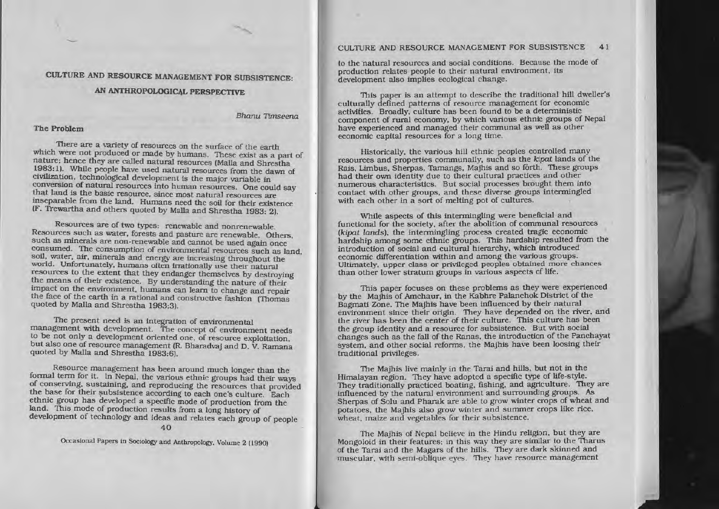# CULTURE AND RESOURCE MANAGEMENT FOR SUBSISTENCE:

# AN ANTHROPOLOGICAL PERSPECTIVE

### Bhanu 11mseena

# The Problem

There are <sup>a</sup> variety of resources on the surface of the earth which were not produced or made by humans. These exist as a part of nature: hence they are called natural resources (Malla and Shrestha 1983: 1). While people have used natural resources from the dawn of civilization. technological development Is the major variable in conversion of natural resources into human resources. One could say that land is the basic resource, since most natural resources are inseparable from the land. Humans need the soil for their existence IF. Trewartha and others quoted by Malla and Shrestha 1983: 21.

Resources are of two types: renewable and nonrenewable. Resources such as water. forests and pasture are renewable. Others. such as minerals are non-renewable and cannot be used again once consumed. The consumption of environmental resources such as land. solI. water. air. minerals and energy are increasing throughout the world. Unfortunately, humans often irrationally use their natural resources to the extent that they endanger themselves by destroying the means of their existence. By understanding the nature of their impact on the environment. humans can learn to change and repair the face of the earth in <sup>a</sup> rational and constructive fashion (Thomas quoted by MaJIa and Shrestha 1983:3).

The present need is an integration of environmental managemen<sup>t</sup> with development. The concep<sup>t</sup> of environment needs to be not only <sup>a</sup> development oriented one. of resource exploitation. but also one of resource managemen<sup>t</sup> (R. Bharadvaj and D. V. Ramana quoted by Malla and Shrestha 1983:6).

Resource managemen<sup>t</sup> has been around much longer than the fonnal term for It. In Nepal. the various ethnic groups had their ways of conserving, sustaining, and reproducing the resources that provided the base for their subsistence according to each one's culture. Each ethnic group has developed <sup>a</sup> specific mode of production from the land. This mode of production results from <sup>a</sup> long history of development of technology and ideas and relates each group of people

 $40$ 

Occasional Papers In Sociology and Anthropology. Volume 2 (1990)

# CULTURE AND RESOURCE MANAGEMENT FOR SUBSISTENCE 41

to the natural resources and social conditions. Because the mode of production relates people to their natural environment. Its development also implies ecological change.

This paper is an attempt to describe the traditional hill dweller's culturally defined patterns of resource managemen<sup>t</sup> for economic activities. Broadly. culture has been found to be <sup>a</sup> deterministic componen<sup>t</sup> of rural economy. by which various ethnic groups of Nepal have experienced and managed their communal as well as other economic capital resources for <sup>a</sup> long time.

Historically, the various hill ethnic peoples controlled many resources and properties communally, such as the kipat lands of the Rais. Umbus. Sherpas. Tamangs. Majhls and so forth. These groups had their own identity due to their cultural practices and other numerous characteristics. But social processes brought them into contact with other groups. and these diverse groups Intermingled with each other in <sup>a</sup> sort of melting po<sup>t</sup> of cultures.

While aspects of this intermingling were beneficial and functional for the society, after the abolition of communal resources (kipat lands), the intermingling process created tragic economic hardship among some ethnic groups. This hardship resulted from the introduction of social and cultural hierarchy. which introduced economic differentiation within and among the various groups. Ultimately. upper class or privileged peoples obtained more chances than other lower stratum groups in various aspects of life.

This paper focuses on these problems as they were experienced by the Majhls of Amchaur. in the Kabhre Palanchok District of the Bagmati Zone. The Majhis have been influenced by their natural environment since their origin. They have depended on the river, and the river has been the center of their culture. This culture has been the group identity and <sup>a</sup> resource for subsistence. But with social changes such as the fall of the Ranas. the lntroduction of the Panchayat system, and other social reforms, the Majhis have been loosing their traditional privileges.

The Majhis live malnly in the Tarai and hills. but not in the Himalayan region. They have adopled <sup>a</sup> specific type of life-style. They traditionally practiced boating. fishing. and agriculture. They are influenced by the natural environment and surrounding groups. As Sherpas of Solu and Pharak are able to grow winter crops of wheat and potatoes, the Majhis also grow winter and summer crops like rice. wheat, maize and vegetables for their subsistence.

The Majhis of Nepal believe in the Hindu religion, but they are Mongoloid in their features; in this way they are similar to the Tharus of the Tarsi and the Magars of the hills. They are dark skinned and muscular, with semi-oblique eyes. They have resource management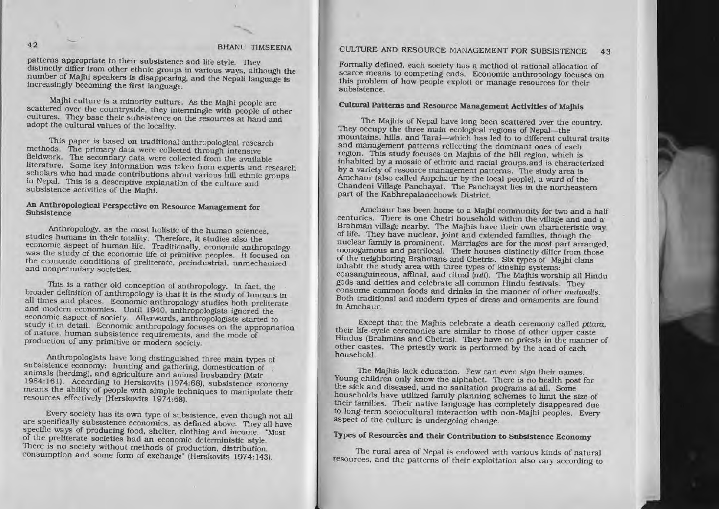# BHANL TIMSEENA

patterns appropriate to their subsistence and life style. They distinctly differ from other ethnic groups in various ways, although the number of Majhi speakers is disappearing, and the Nepali language is increasingly becoming the first language.

Majhi culture is a minority culture. As the Majhi people are scattered over the countryside, they intermingle with people of other cultures. They base their subsistence on the resources at hand and adopt the cultural values of the locality.

This paper is based on traditional anthropological research methods. The primary data were collected through intensive fieldwork. The secondary data were collected from the available literature. Some key information was taken from experts and research scholars who had made contributions about various hill ethnic groups in Nepal. This is a descriptive explanation of the culture and subsistence activities of the Majhi.

# An Anthropological Perspective on Resource Management for Subsistence

Anthropology, as the most holistic of the human sciences, studies humans in their totality. Therefore, it studies also the economic aspect of human life. Traditionally, economic anthropology was the study of the economic life of primitive peoples. It focused on the economic conditions of preliterate, preindustrial, unmechanized and nonpecuniary societies.

This is a rather old conception of anthropology. In fact, the broader definition of anthropology is that it is the study of humans in all times and places. Economic anthropology studies both preliterate and modern economies. Until 1940, anthropologists ignored the economic aspect of society. Afterwards, anthropologists started to study it in detail. Economic anthropology focuses on the appropriation of nature, human subsistence requirements, and the mode of production of any primitive or modern society.

Anthropologists have long distinguished three main types of subsistence economy: hunting and gathering, domestication of animals (herding), and agriculture and animal husbandry (Mair 1984:161). According to Herskovits (1974:68), subsistence economy means the ability of people with simple techniques to manipulate their resources effectively (Herskovits 1974:68).

Every society has its own type of subsistence, even though not all are specifically subsistence economies, as defined above. They all have specific ways of producing food, shelter, clothing and income. "Most of the preliterate societies had an economic deterministic style. There is no society without methods of production, distribution, consumption and some form of exchange" (Herskovits 1974:143).

#### CULTURE AND RESOURCE MANAGEMENT FOR SUBSISTENCE 43

Formally defined, each society has a method of rational allocation of scarce means to competing ends. Economic anthropology focuses on this problem of how people exploit or manage resources for their subsistence.

# Cultural Patterns and Resource Management Activities of Majhis

The Majhis of Nepal have long been scattered over the country. They occupy the three main ecological regions of Nepal-the mountains, hills, and Tarai-which has led to to different cultural traits and management patterns reflecting the dominant ones of each region. This study focuses on Majhis of the hill region, which is inhabited by a mosaic of ethnic and racial groups. and is characterized by a variety of resource management patterns. The study area is Amchaur (also called Anpchaur by the local people), a ward of the Chandeni Village Panchayat. The Panchayat lies in the northeastern part of the Kabhrepalanechowk District.

Amchaur has been home to a Majhi community for two and a half centuries. There is one Chetri household within the village and and a Brahman village nearby. The Majhis have their own characteristic way of life. They have nuclear, joint and extended families, though the nuclear family is prominent. Marriages are for the most part arranged, monogamous and patrilocal. Their houses distinctly differ from those of the neighboring Brahmans and Chetris. Six types of Majhi clans inhabit the study area with three types of kinship systems: consanguineous, affinal, and ritual (mit). The Majhis worship all Hindu gods and deities and celebrate all common Hindu festivals. They consume common foods and drinks in the manner of other matwalis. Both traditional and modern types of dress and ornaments are found in Amchaur.

Except that the Majhis celebrate a death ceremony called pitara. their life-cycle ceremonies are similar to those of other upper caste Hindus (Brahmins and Chetris). They have no priests in the manner of other castes. The priestly work is performed by the head of each household.

The Majhis lack education. Few can even sign their names. Young children only know the alphabet. There is no health post for the sick and diseased, and no sanitation programs at all. Some households have utilized family planning schemes to limit the size of their families. Their native language has completely disappeared due. to long-term sociocultural interaction with non-Majhi peoples. Every aspect of the culture is undergoing change.

# Types of Resources and their Contribution to Subsistence Economy

The rural area of Nepal is endowed with various kinds of natural resources, and the patterns of their exploitation also vary according to

 $42$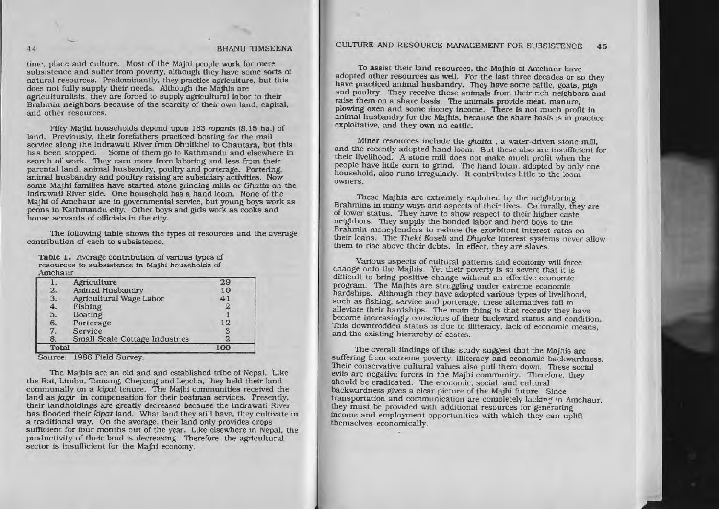time, place and culture. Most of the Majhi people work for mere subsistence and suffer from poverty, although they have some sorts of natural resources. Predominantly, they practice agriculture, but this does not fully supply their needs. Although the Majhls are agriculturalists, they are forced to supply agricultural labor to their Brahmin neighbors because of the scarcity of their own land. capital. and other resources.

FIfty MaJhl households depend upon 163 ropants (8.15 ha.) of land. Previously, their forefathers practiced boating for the mail service along the Indrawati River from Dhulikhel to Chautara, but this has been stopped. Some of them go to Kathmandu and elsewhere in search of work. They eam more from laboring and less from their parental land, animal husbandry, poultry and porterage. Portering, animal husbandry and poultry raising are subsidiary activities. Now some Majhi families have started stone grinding mills or Ghatta on the Indrawati River side. One household has a hand loom. None of the Majhi of Amchaur are in governmental service, but young boys work as peons in Kathmandu City. Other boys and girls work as cooks and house servants of officials in the city.

The following table shows the types of resources and the average contribution of each to subsistence.

Table 1. Average contribution of various types of resources to subsistence in Majhi households of Amchaur

|                 | Agriculture                    | 29  |
|-----------------|--------------------------------|-----|
|                 | Animal Husbandry               | 10  |
| $\frac{2}{3}$ . | Agricultural Wage Labor        | 41  |
| 4.              | Fishing                        |     |
| 5.              | <b>Boating</b>                 |     |
| 6.              | Porterage                      | 12  |
| 7.              | Service                        | 3   |
| 8.              | Small Scale Cottage Industries |     |
| <b>Total</b>    |                                | 100 |

Source: 1986 Field Survey.

The Majhis are an old and and established tribe of Nepal. Like the Rai. Umbu. Tamang. Chepang and Lepcha. they held their land communally on a kipat tenure. The Majhi communities received the land as *jagir* in compensation for their boatman services. Presently, their landholdings are greatly decreased because the Indrawati River has flooded their *kipat* land. What land they still have, they cultivate in<br>a traditional way. On the average, their land only provides crops <sup>a</sup> traditional way. On the average. their land only provides crops sufficient for four months out of the year. Like elsewhere in Nepal, the productivity of their land is decreasing. Therefore. the agricultural sector is insufficient for the Majhi economy.

# BHANU TIMSEENA CULTURE AND RESOURCE MANAGEMENT FOR SUBSISTENCE 45

To assist their land resources. the Majhls of Amchaur have adopted other resources as well. For the last three decades or so they have practiced animal husbandry. They have some cattle, goats, pigs and poultry. They receive these animals from their rich neighbors and raise them on a share basis. The animals provide meat, manure, plowing oxen and some money income. There is not much profit in animal husbandry for the Majhis, because the share basis is in practice exploitative, and they own no cattle.

Miner resources include the ghatta, a water-driven stone mill. and the recently adopted hand loom. But these also are insufficient for their livelihood. <sup>A</sup> stone mill does not make much profit when the people have little corn to grind. The hand loom, adopted by only one household, also runs irregularly. It contributes little to the loom owners.

These Majhis are extremely exploited by the neighboring Brahmins in many ways and aspects of their lives. Culturally, they are of lower status. They have to show respect to their higher caste neighbors. They supply the bonded labor and herd boys to the Brahmin moneylenders to reduce the exorbitant interest rates on their loans. The Theki Koseli and Dhyake interest systems never allow them to rise above their debts. In effect. they are slaves.

Various aspects of cultural patterns and economy will force change onto the Majhis. Yet their poverty is so severe that it is difficult to bring positive change without an effective economic program. The MaJhis are struggling under extreme economic hardships. Although they have adopted various types of livelihood. such as fishing, service and porterage, these alternatives fail to alleviate their hardships. The main thing is that recently they have become increasingly conscious of their backward status and condition. This downtrodden status is due to illiteracy, lack of economic means. and the existing hierarchy of castes.

The overall findings of this study suggest that the Majhis are suffering from extreme poverty. Illiteracy and economic backwardness. Their conservative cultural values also pull them down. These social evils are negative forces in the Majhi community. Therefore, they should be eradicated. The economic. social. and cultural backwardness gives <sup>a</sup> clear picture of the Majhi future. Since transportation and communication are completely lacking in Amchaur. they must be provided with additional resources for generating Income and employment opportunities with which they can uplift themselves economically.